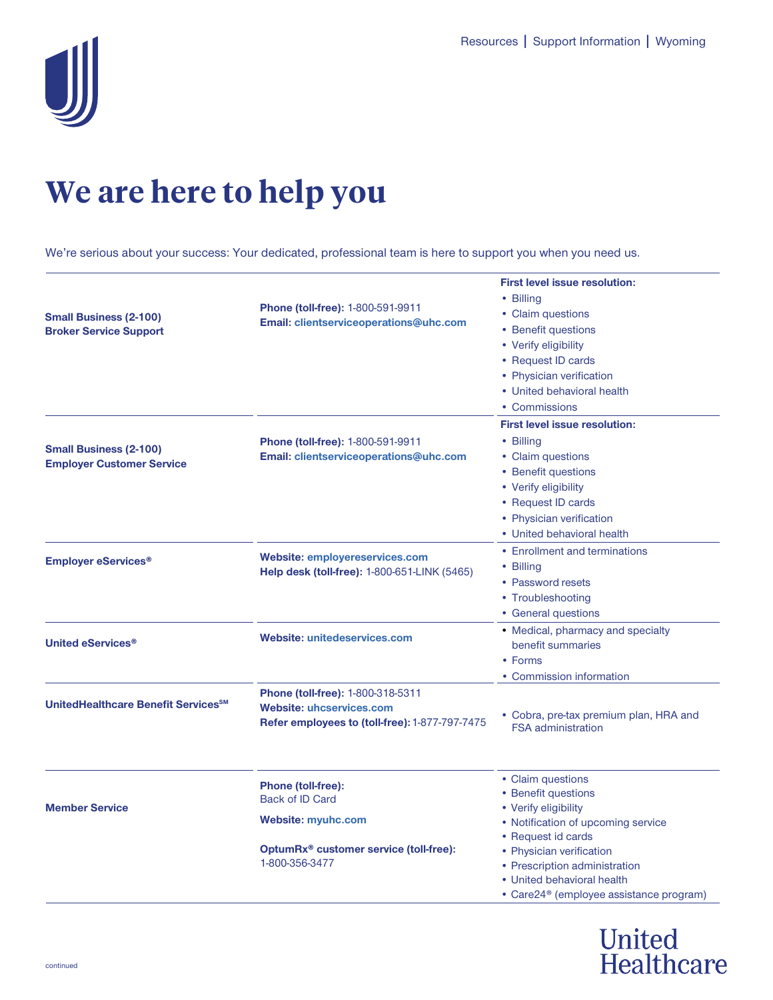

## **We are here to help you**

We're serious about your success: Your dedicated, professional team is here to support you when you need us.

| <b>Small Business (2-100)</b><br><b>Broker Service Support</b>    | <b>Phone (toll-free): 1-800-591-9911</b><br>Email: clientserviceoperations@uhc.com                                                           | <b>First level issue resolution:</b><br>• Billing<br>• Claim questions<br>• Benefit questions<br>• Verify eligibility<br>• Request ID cards<br>• Physician verification<br>• United behavioral health<br>• Commissions |
|-------------------------------------------------------------------|----------------------------------------------------------------------------------------------------------------------------------------------|------------------------------------------------------------------------------------------------------------------------------------------------------------------------------------------------------------------------|
| <b>Small Business (2-100)</b><br><b>Employer Customer Service</b> | <b>Phone (toll-free): 1-800-591-9911</b><br>Email: clientserviceoperations@uhc.com                                                           | <b>First level issue resolution:</b><br>• Billing<br>• Claim questions<br>• Benefit questions<br>• Verify eligibility<br>• Request ID cards<br>• Physician verification<br>• United behavioral health                  |
| <b>Employer eServices<sup>®</sup></b>                             | <b>Website: employereservices.com</b><br>Help desk (toll-free): 1-800-651-LINK (5465)                                                        | • Enrollment and terminations<br>• Billing<br>• Password resets<br>• Troubleshooting<br>• General questions                                                                                                            |
| <b>United eServices<sup>®</sup></b>                               | Website: unitedeservices.com                                                                                                                 | • Medical, pharmacy and specialty<br>benefit summaries<br>• Forms<br>• Commission information                                                                                                                          |
| UnitedHealthcare Benefit Services <sup>SM</sup>                   | <b>Phone (toll-free): 1-800-318-5311</b><br><b>Website: uhcservices.com</b><br>Refer employees to (toll-free): 1-877-797-7475                | • Cobra, pre-tax premium plan, HRA and<br><b>FSA administration</b>                                                                                                                                                    |
| <b>Member Service</b>                                             | <b>Phone (toll-free):</b><br><b>Back of ID Card</b><br><b>Website: myuhc.com</b><br>OptumRx® customer service (toll-free):<br>1-800-356-3477 | • Claim questions<br>• Benefit questions<br>• Verify eligibility<br>• Notification of upcoming service<br>• Request id cards<br>• Physician verification<br>• Prescription administration                              |
|                                                                   |                                                                                                                                              | • United behavioral health<br>• Care24 <sup>®</sup> (employee assistance program)                                                                                                                                      |